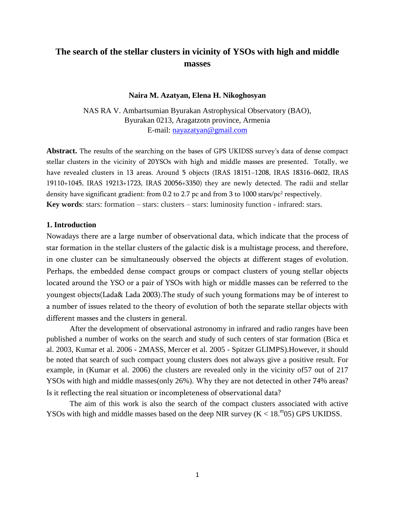# **The search of the stellar clusters in vicinity of YSOs with high and middle masses**

#### **Naira M. Azatyan, Elena H. Nikoghosyan**

NAS RA V. Ambartsumian Byurakan Astrophysical Observatory (BAO), Byurakan 0213, Aragatzotn province, Armenia E-mail: [nayazatyan@gmail.com](mailto:nayazatyan@gmail.com)

**Abstract.** The results of the searching on the bases of GPS UKIDSS survey's data of dense compact stellar clusters in the vicinity of 20YSOs with high and middle masses are presented. Totally, we have revealed clusters in 13 areas. Around 5 objects (IRAS 18151−1208, IRAS 18316−0602, IRAS 19110+1045, IRAS 19213+1723, IRAS 20056+3350) they are newly detected. The radii and stellar density have significant gradient: from 0.2 to 2.7 pc and from 3 to 1000 stars/pc<sup>2</sup> respectively. **Key words**: stars: formation – stars: clusters – stars: luminosity function - infrared: stars.

### **1. Introduction**

Nowadays there are a large number of observational data, which indicate that the process of star formation in the stellar clusters of the galactic disk is a multistage process, and therefore, in one cluster can be simultaneously observed the objects at different stages of evolution. Perhaps, the embedded dense compact groups or compact clusters of young stellar objects located around the YSO or a pair of YSOs with high or middle masses can be referred to the youngest objects(Lada& Lada 2003).The study of such young formations may be of interest to a number of issues related to the theory of evolution of both the separate stellar objects with different masses and the clusters in general.

After the development of observational astronomy in infrared and radio ranges have been published a number of works on the search and study of such centers of star formation (Bica et al. 2003, Kumar et al. 2006 - 2MASS, Mercer et al. 2005 - Spitzer GLIMPS).However, it should be noted that search of such compact young clusters does not always give a positive result. For example, in (Kumar et al. 2006) the clusters are revealed only in the vicinity of57 out of 217 YSOs with high and middle masses(only 26%). Why they are not detected in other 74% areas? Is it reflecting the real situation or incompleteness of observational data?

The aim of this work is also the search of the compact clusters associated with active YSOs with high and middle masses based on the deep NIR survey  $(K < 18.^{\rm m}05)$  GPS UKIDSS.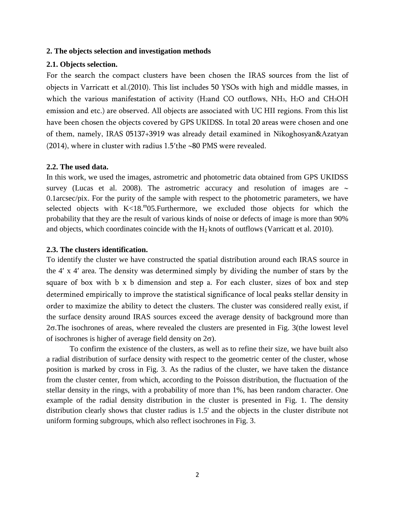### **2. The objects selection and investigation methods**

### **2.1. Objects selection.**

For the search the compact clusters have been chosen the IRAS sources from the list of objects in Varricatt et al.(2010). This list includes 50 YSOs with high and middle masses, in which the various manifestation of activity (H2and CO outflows, NH<sub>3</sub>, H<sub>2</sub>O and CH<sub>3</sub>OH emission and etc.) are observed. All objects are associated with UC HII regions. From this list have been chosen the objects covered by GPS UKIDSS. In total 20 areas were chosen and one of them, namely, IRAS 05137+3919 was already detail examined in Nikoghosyan&Azatyan (2014), where in cluster with radius  $1.5$ 'the ~80 PMS were revealed.

#### **2.2. The used data.**

In this work, we used the images, astrometric and photometric data obtained from GPS UKIDSS survey (Lucas et al. 2008). The astrometric accuracy and resolution of images are  $\sim$ 0.1arcsec/pix. For the purity of the sample with respect to the photometric parameters, we have selected objects with  $K < 18.^{\rm m}$ 05. Furthermore, we excluded those objects for which the probability that they are the result of various kinds of noise or defects of image is more than 90% and objects, which coordinates coincide with the  $H_2$  knots of outflows (Varricatt et al. 2010).

## **2.3. The clusters identification.**

To identify the cluster we have constructed the spatial distribution around each IRAS source in the 4' x 4' area. The density was determined simply by dividing the number of stars by the square of box with b х b dimension and step a. For each cluster, sizes of box and step determined empirically to improve the statistical significance of local peaks stellar density in order to maximize the ability to detect the clusters. The cluster was considered really exist, if the surface density around IRAS sources exceed the average density of background more than  $2\sigma$ . The isochrones of areas, where revealed the clusters are presented in Fig. 3(the lowest level of isochrones is higher of average field density on  $2\sigma$ ).

To confirm the existence of the clusters, as well as to refine their size, we have built also a radial distribution of surface density with respect to the geometric center of the cluster, whose position is marked by cross in Fig. 3. As the radius of the cluster, we have taken the distance from the cluster center, from which, according to the Poisson distribution, the fluctuation of the stellar density in the rings, with a probability of more than 1%, has been random character. One example of the radial density distribution in the cluster is presented in Fig. 1. The density distribution clearly shows that cluster radius is 1.5' and the objects in the cluster distribute not uniform forming subgroups, which also reflect isochrones in Fig. 3.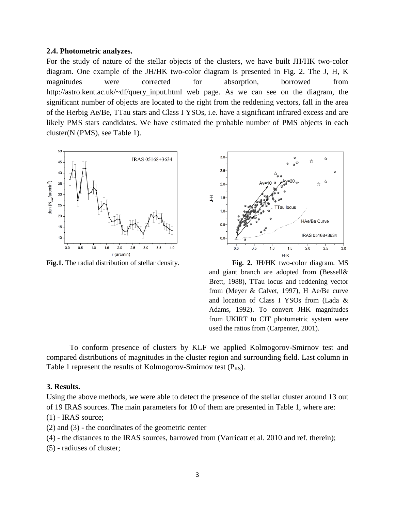#### **2.4. Photometric analyzes.**

For the study of nature of the stellar objects of the clusters, we have built JH/HK two-color diagram. One example of the JH/HK two-color diagram is presented in Fig. 2. The J, H, K magnitudes were corrected for absorption, borrowed from http://astro.kent.ac.uk/~df/query\_input.html web page. As we can see on the diagram, the significant number of objects are located to the right from the reddening vectors, fall in the area of the Herbig Ae/Be, TTau stars and Class I YSOs, i.e. have a significant infrared excess and are likely PMS stars candidates. We have estimated the probable number of PMS objects in each cluster(N (PMS), see Table 1).





**Fig.1.** The radial distribution of stellar density. **Fig. 2.** JH/HK two-color diagram. MS and giant branch are adopted from (Bessell& Brett, 1988), TTau locus and reddening vector from (Meyer & Calvet, 1997), H Ae/Be curve and location of Class I YSOs from (Lada & Adams, 1992). To convert JHK magnitudes from UKIRT to CIT photometric system were used the ratios from (Carpenter, 2001).

To conform presence of clusters by KLF we applied Kolmogorov-Smirnov test and compared distributions of magnitudes in the cluster region and surrounding field. Last column in Table 1 represent the results of Kolmogorov-Smirnov test  $(P_{KS})$ .

### **3. Results.**

Using the above methods, we were able to detect the presence of the stellar cluster around 13 out of 19 IRAS sources. The main parameters for 10 of them are presented in Table 1, where are:

- $(1)$  IRAS source;
- (2) and (3) the coordinates of the geometric center
- (4) the distances to the IRAS sources, barrowed from (Varricatt et al. 2010 and ref. therein);
- (5) radiuses of cluster;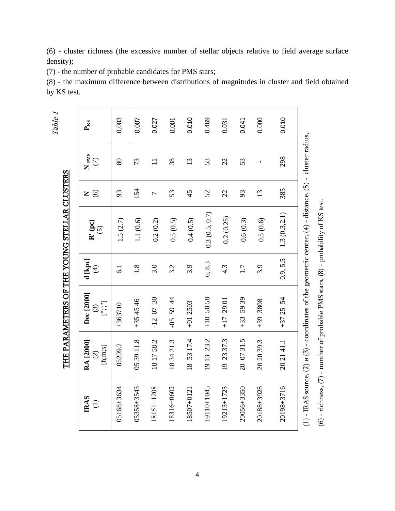|                          |                                                       |                                                                   |                                    | THE PARAMETERS OF THE YOUNG STELLAR CLUSTERS                                                                                                                                                             |              |                            | Table 1  |
|--------------------------|-------------------------------------------------------|-------------------------------------------------------------------|------------------------------------|----------------------------------------------------------------------------------------------------------------------------------------------------------------------------------------------------------|--------------|----------------------------|----------|
| <b>IRAS</b><br>$\ominus$ | RA [2000]<br>$[ \lim_{s \to \infty}$<br>$\widehat{c}$ | Dec [2000]<br>$[\cdot, \cdot, \cdot]$<br>$\widehat{\mathfrak{S}}$ | d [kpc]<br>$\widehat{\mathcal{F}}$ | $\mathbf{R}^{\prime}\left(\mathbf{p}\mathbf{c}\right)$<br>$\widetilde{S}$                                                                                                                                | $\odot$<br>Z | $N_{PMS}$<br>$\widehat{C}$ | $P_{KS}$ |
| 05168+3634               | 05209.2                                               | $+363710$                                                         | $\overline{61}$                    | 1.5(2.7)                                                                                                                                                                                                 | 93           | 80                         | 0,003    |
| 05358+3543               | 05 39 11.8                                            | $+354546$                                                         | $1.8\,$                            | 1.1(0.6)                                                                                                                                                                                                 | 154          | 73                         | 0.007    |
| 18151-1208               | 181758.2                                              | $-120730$                                                         | 3.0                                | 0.2(0.2)                                                                                                                                                                                                 | 1            | $\Box$                     | 0.027    |
| 18316-0602               | 183421.3                                              | $-055944$                                                         | 3.2                                | 0.5(0.5)                                                                                                                                                                                                 | 53           | 38                         | 0.001    |
| 18507+0121               | 18 53 17.4                                            | $+012503$                                                         | 3.9                                | 0.4(0.5)                                                                                                                                                                                                 | 45           | 13                         | 0.010    |
| 19110+1045               | 23.2<br>1913                                          | $+10,5058$                                                        | 6,8.3                              | 0.3(0.5, 0.7)                                                                                                                                                                                            | 52           | 53                         | 0.469    |
| 19213+1723               | 19 23 37.3                                            | 2901<br>$\overline{11}$                                           | $4.\overline{3}$                   | 0.2(0.25)                                                                                                                                                                                                | 22           | 22                         | 0.031    |
| 20056+3350               | 20 07 31.5                                            | $+33559$                                                          | 1.7                                | 0.6(0.3)                                                                                                                                                                                                 | 93           | 53                         | 0.041    |
| 20188+3928               | 20 20 39.3                                            | 8088 68+                                                          | 3.9                                | 0.5(0.6)                                                                                                                                                                                                 | 13           | $\mathbf{I}$               | 0.000    |
| 20198+3716               | 202141.1                                              | $+372554$                                                         | 0.9, 5.5                           | 1.3(0.3, 2.1)                                                                                                                                                                                            | 385          | 298                        | 0.010    |
|                          |                                                       |                                                                   |                                    | (1) - IRAS source, (2) $\pi$ (3) - coordinates of the geometric center, (4) - distance, (5) - cluster radius,<br>$(6)$ - richness, $(7)$ - number of probable PMS stars, $(8)$ - probability of KS test. |              |                            |          |
|                          |                                                       |                                                                   |                                    |                                                                                                                                                                                                          |              |                            |          |

(6) - cluster richness (the excessive number of stellar objects relative to field average surface density);

(7) - the number of probable candidates for PMS stars;

(8) - the maximum difference between distributions of magnitudes in cluster and field obtained by KS test.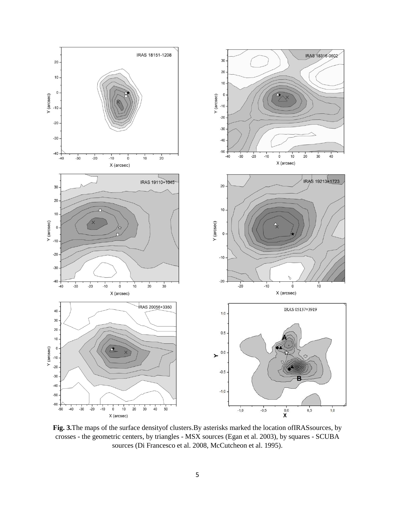

**Fig. 3.**The maps of the surface densityof clusters.By asterisks marked the location ofIRASsources, by crosses - the geometric centers, by triangles - MSX sources (Egan et al. 2003), by squares - SCUBA sources (Di Francesco et al. 2008, McCutcheon et al. 1995).